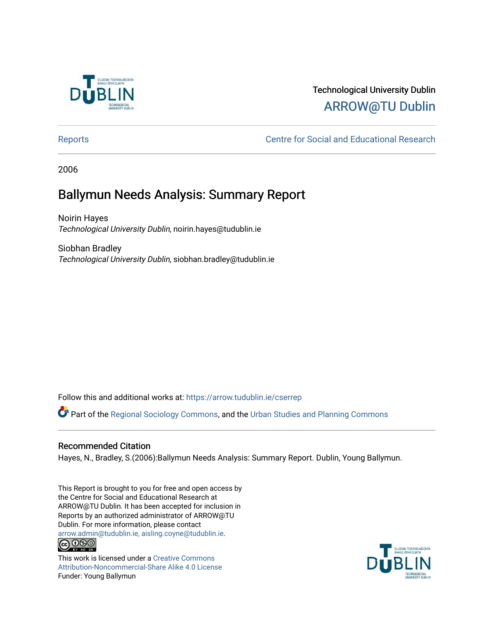

### Technological University Dublin [ARROW@TU Dublin](https://arrow.tudublin.ie/)

[Reports](https://arrow.tudublin.ie/cserrep) **Centre for Social and Educational Research** 

2006

### Ballymun Needs Analysis: Summary Report

Noirin Hayes Technological University Dublin, noirin.hayes@tudublin.ie

Siobhan Bradley Technological University Dublin, siobhan.bradley@tudublin.ie

Follow this and additional works at: [https://arrow.tudublin.ie/cserrep](https://arrow.tudublin.ie/cserrep?utm_source=arrow.tudublin.ie%2Fcserrep%2F33&utm_medium=PDF&utm_campaign=PDFCoverPages)

**P** Part of the [Regional Sociology Commons](http://network.bepress.com/hgg/discipline/427?utm_source=arrow.tudublin.ie%2Fcserrep%2F33&utm_medium=PDF&utm_campaign=PDFCoverPages), and the [Urban Studies and Planning Commons](http://network.bepress.com/hgg/discipline/436?utm_source=arrow.tudublin.ie%2Fcserrep%2F33&utm_medium=PDF&utm_campaign=PDFCoverPages)

#### Recommended Citation

Hayes, N., Bradley, S.(2006):Ballymun Needs Analysis: Summary Report. Dublin, Young Ballymun.

This Report is brought to you for free and open access by the Centre for Social and Educational Research at ARROW@TU Dublin. It has been accepted for inclusion in Reports by an authorized administrator of ARROW@TU Dublin. For more information, please contact [arrow.admin@tudublin.ie, aisling.coyne@tudublin.ie](mailto:arrow.admin@tudublin.ie,%20aisling.coyne@tudublin.ie). **@000** 

This work is licensed under a [Creative Commons](http://creativecommons.org/licenses/by-nc-sa/4.0/) [Attribution-Noncommercial-Share Alike 4.0 License](http://creativecommons.org/licenses/by-nc-sa/4.0/) Funder: Young Ballymun

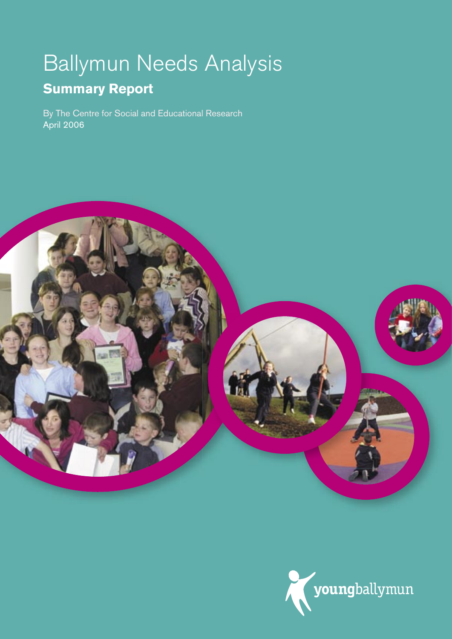# Ballymun Needs Analysis

# **Summary Report**

By The Centre for Social and Educational Research April 2006



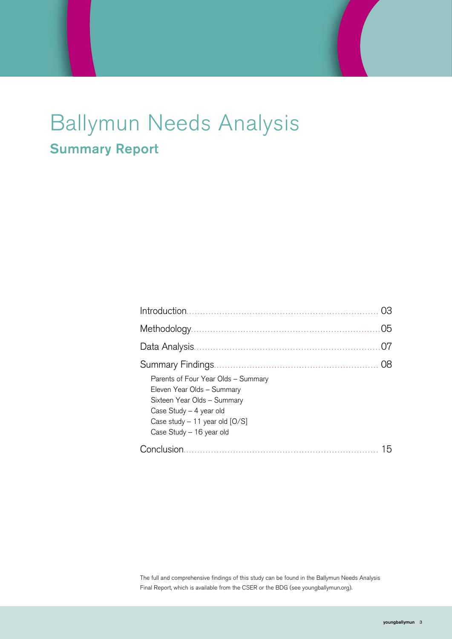# Ballymun Needs Analysis Summary Report

|                                                                                                                                                                                                | U3 |
|------------------------------------------------------------------------------------------------------------------------------------------------------------------------------------------------|----|
|                                                                                                                                                                                                |    |
|                                                                                                                                                                                                |    |
|                                                                                                                                                                                                |    |
| Parents of Four Year Olds - Summary<br>Eleven Year Olds - Summary<br>Sixteen Year Olds - Summary<br>Case Study $-$ 4 year old<br>Case study $-11$ year old $[O/S]$<br>Case Study - 16 year old |    |
|                                                                                                                                                                                                | 15 |

The full and comprehensive findings of this study can be found in the Ballymun Needs Analysis Final Report, which is available from the CSER or the BDG (see youngballymun.org).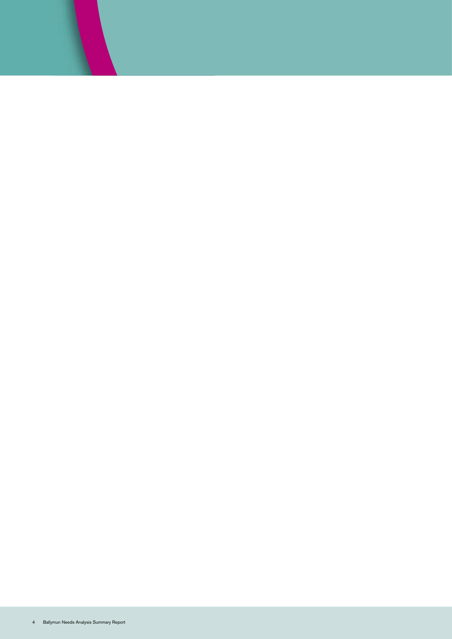Ballymun Needs Analysis Summary Report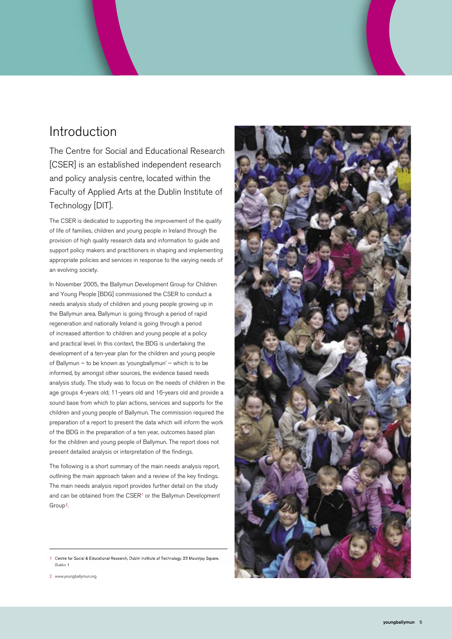### Introduction

The Centre for Social and Educational Research [CSER] is an established independent research and policy analysis centre, located within the Faculty of Applied Arts at the Dublin Institute of Technology [DIT].

The CSER is dedicated to supporting the improvement of the quality of life of families, children and young people in Ireland through the provision of high quality research data and information to guide and support policy makers and practitioners in shaping and implementing appropriate policies and services in response to the varying needs of an evolving society.

In November 2005, the Ballymun Development Group for Children and Young People [BDG] commissioned the CSER to conduct a needs analysis study of children and young people growing up in the Ballymun area. Ballymun is going through a period of rapid regeneration and nationally Ireland is going through a period of increased attention to children and young people at a policy and practical level. In this context, the BDG is undertaking the development of a ten-year plan for the children and young people of Ballymun – to be known as 'youngballymun' – which is to be informed, by amongst other sources, the evidence based needs analysis study. The study was to focus on the needs of children in the age groups 4-years old; 11-years old and 16-years old and provide a sound base from which to plan actions, services and supports for the children and young people of Ballymun. The commission required the preparation of a report to present the data which will inform the work of the BDG in the preparation of a ten year, outcomes based plan for the children and young people of Ballymun. The report does not present detailed analysis or interpretation of the findings.

The following is a short summary of the main needs analysis report, outlining the main approach taken and a review of the key findings. The main needs analysis report provides further detail on the study and can be obtained from the CSER<sup>1</sup> or the Ballymun Development Group<sup>2</sup>.

2 www.youngballymun.org



<sup>1</sup> Centre for Social & Educational Research, Dublin Institute of Technology, 23 Mountjoy Square, Dublin 1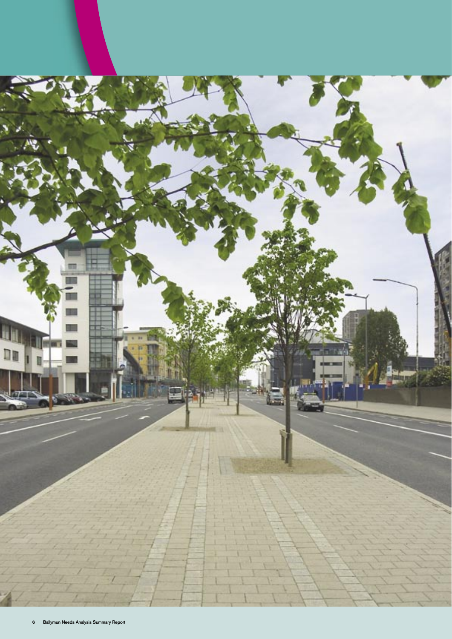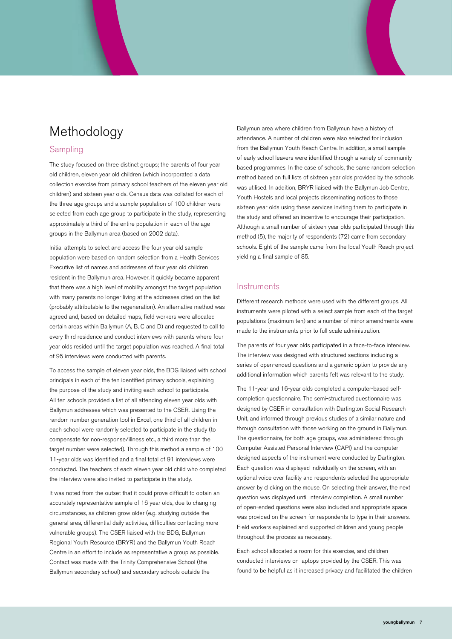### Methodology

#### Sampling

The study focused on three distinct groups; the parents of four year old children, eleven year old children (which incorporated a data collection exercise from primary school teachers of the eleven year old children) and sixteen year olds. Census data was collated for each of the three age groups and a sample population of 100 children were selected from each age group to participate in the study, representing approximately a third of the entire population in each of the age groups in the Ballymun area (based on 2002 data).

Initial attempts to select and access the four year old sample population were based on random selection from a Health Services Executive list of names and addresses of four year old children resident in the Ballymun area. However, it quickly became apparent that there was a high level of mobility amongst the target population with many parents no longer living at the addresses cited on the list (probably attributable to the regeneration). An alternative method was agreed and, based on detailed maps, field workers were allocated certain areas within Ballymun (A, B, C and D) and requested to call to every third residence and conduct interviews with parents where four year olds resided until the target population was reached. A final total of 95 interviews were conducted with parents.

To access the sample of eleven year olds, the BDG liaised with school principals in each of the ten identified primary schools, explaining the purpose of the study and inviting each school to participate. All ten schools provided a list of all attending eleven year olds with Ballymun addresses which was presented to the CSER. Using the random number generation tool in Excel, one third of all children in each school were randomly selected to participate in the study (to compensate for non-response/illness etc., a third more than the target number were selected). Through this method a sample of 100 11-year olds was identified and a final total of 91 interviews were conducted. The teachers of each eleven year old child who completed the interview were also invited to participate in the study.

It was noted from the outset that it could prove difficult to obtain an accurately representative sample of 16 year olds, due to changing circumstances, as children grow older (e.g. studying outside the general area, differential daily activities, difficulties contacting more vulnerable groups). The CSER liaised with the BDG, Ballymun Regional Youth Resource (BRYR) and the Ballymun Youth Reach Centre in an effort to include as representative a group as possible. Contact was made with the Trinity Comprehensive School (the Ballymun secondary school) and secondary schools outside the

Ballymun area where children from Ballymun have a history of attendance. A number of children were also selected for inclusion from the Ballymun Youth Reach Centre. In addition, a small sample of early school leavers were identified through a variety of community based programmes. In the case of schools, the same random selection method based on full lists of sixteen year olds provided by the schools was utilised. In addition, BRYR liaised with the Ballymun Job Centre, Youth Hostels and local projects disseminating notices to those sixteen year olds using these services inviting them to participate in the study and offered an incentive to encourage their participation. Although a small number of sixteen year olds participated through this method (5), the majority of respondents (72) came from secondary schools. Eight of the sample came from the local Youth Reach project yielding a final sample of 85.

#### **Instruments**

Different research methods were used with the different groups. All instruments were piloted with a select sample from each of the target populations (maximum ten) and a number of minor amendments were made to the instruments prior to full scale administration.

The parents of four year olds participated in a face-to-face interview. The interview was designed with structured sections including a series of open-ended questions and a generic option to provide any additional information which parents felt was relevant to the study.

The 11-year and 16-year olds completed a computer-based selfcompletion questionnaire. The semi-structured questionnaire was designed by CSER in consultation with Dartington Social Research Unit, and informed through previous studies of a similar nature and through consultation with those working on the ground in Ballymun. The questionnaire, for both age groups, was administered through Computer Assisted Personal Interview (CAPI) and the computer designed aspects of the instrument were conducted by Dartington. Each question was displayed individually on the screen, with an optional voice over facility and respondents selected the appropriate answer by clicking on the mouse. On selecting their answer, the next question was displayed until interview completion. A small number of open-ended questions were also included and appropriate space was provided on the screen for respondents to type in their answers. Field workers explained and supported children and young people throughout the process as necessary.

Each school allocated a room for this exercise, and children conducted interviews on laptops provided by the CSER. This was found to be helpful as it increased privacy and facilitated the children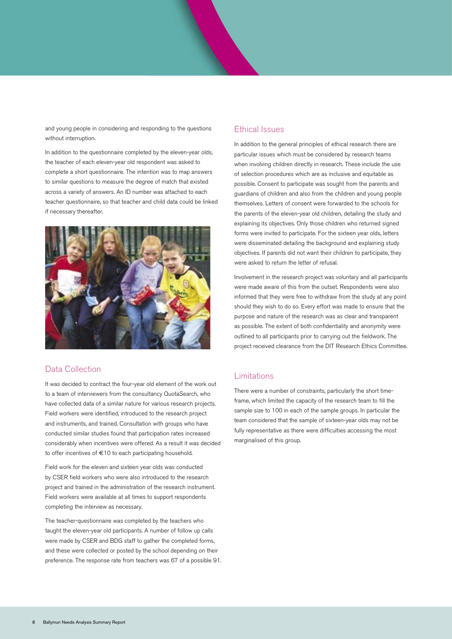and young people in considering and responding to the questions without interruption.

In addition to the questionnaire completed by the eleven-year olds, the teacher of each eleven-year old respondent was asked to complete a short questionnaire. The intention was to map answers to similar questions to measure the degree of match that existed across a variety of answers. An ID number was attached to each teacher questionnaire, so that teacher and child data could be linked if necessary thereafter.



#### Data Collection

It was decided to contract the four-year old element of the work out to a team of interviewers from the consultancy QuotaSearch, who have collected data of a similar nature for various research projects. Field workers were identified, introduced to the research project and instruments, and trained. Consultation with groups who have conducted similar studies found that participation rates increased considerably when incentives were offered. As a result it was decided to offer incentives of €10 to each participating household.

Field work for the eleven and sixteen year olds was conducted by CSER field workers who were also introduced to the research project and trained in the administration of the research instrument. Field workers were available at all times to support respondents completing the interview as necessary.

The teacher-questionnaire was completed by the teachers who taught the eleven-year old participants. A number of follow up calls were made by CSER and BDG staff to gather the completed forms, and these were collected or posted by the school depending on their preference. The response rate from teachers was 67 of a possible 91.

#### Ethical Issues

In addition to the general principles of ethical research there are particular issues which must be considered by research teams when involving children directly in research. These include the use of selection procedures which are as inclusive and equitable as possible. Consent to participate was sought from the parents and guardians of children and also from the children and young people themselves. Letters of consent were forwarded to the schools for the parents of the eleven-year old children, detailing the study and explaining its objectives. Only those children who returned signed forms were invited to participate. For the sixteen year olds, letters were disseminated detailing the background and explaining study objectives. If parents did not want their children to participate, they were asked to return the letter of refusal.

Involvement in the research project was voluntary and all participants were made aware of this from the outset. Respondents were also informed that they were free to withdraw from the study at any point should they wish to do so. Every effort was made to ensure that the purpose and nature of the research was as clear and transparent as possible. The extent of both confidentiality and anonymity were outlined to all participants prior to carrying out the fieldwork. The project received clearance from the DIT Research Ethics Committee.

#### Limitations

There were a number of constraints, particularly the short timeframe, which limited the capacity of the research team to fill the sample size to 100 in each of the sample groups. In particular the team considered that the sample of sixteen-year olds may not be fully representative as there were difficulties accessing the most marginalised of this group.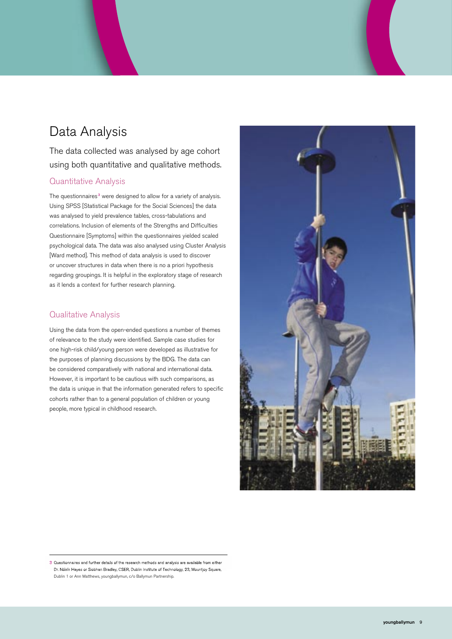## Data Analysis

The data collected was analysed by age cohort using both quantitative and qualitative methods.

### Quantitative Analysis

The questionnaires<sup>3</sup> were designed to allow for a variety of analysis. Using SPSS [Statistical Package for the Social Sciences] the data was analysed to yield prevalence tables, cross-tabulations and correlations. Inclusion of elements of the Strengths and Difficulties Questionnaire [Symptoms] within the questionnaires yielded scaled psychological data. The data was also analysed using Cluster Analysis [Ward method]. This method of data analysis is used to discover or uncover structures in data when there is no a priori hypothesis regarding groupings. It is helpful in the exploratory stage of research as it lends a context for further research planning.

### Qualitative Analysis

Using the data from the open-ended questions a number of themes of relevance to the study were identified. Sample case studies for one high-risk child/young person were developed as illustrative for the purposes of planning discussions by the BDG. The data can be considered comparatively with national and international data. However, it is important to be cautious with such comparisons, as the data is unique in that the information generated refers to specific cohorts rather than to a general population of children or young people, more typical in childhood research.



<sup>3</sup> Questionnaires and further details of the research methods and analysis are available from either Dr. Nóirín Hayes or Siobhan Bradley, CSER, Dublin Institute of Technology, 23, Mountjoy Square, Dublin 1 or Ann Matthews, youngballymun, c/o Ballymun Partnership.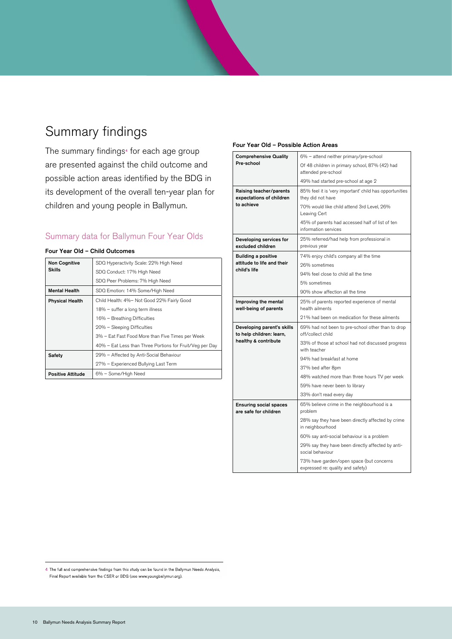# Summary findings

Four Year Old – Child Outcomes

The summary findings<sup>4</sup> for each age group are presented against the child outcome and possible action areas identified by the BDG in its development of the overall ten-year plan for children and young people in Ballymun.

### Summary data for Ballymun Four Year Olds

| <b>Non Cognitive</b>     | SDQ Hyperactivity Scale: 22% High Need                   |
|--------------------------|----------------------------------------------------------|
| <b>Skills</b>            | SDQ Conduct: 17% High Need                               |
|                          | SDQ Peer Problems: 7% High Need                          |
| <b>Mental Health</b>     | SDQ Emotion: 14% Some/High Need                          |
| <b>Physical Health</b>   | Child Health: 4%- Not Good 22% Fairly Good               |
|                          | 18% - suffer a long term illness                         |
|                          | 16% - Breathing Difficulties                             |
|                          | 20% - Sleeping Difficulties                              |
|                          | 3% - Eat Fast Food More than Five Times per Week         |
|                          | 40% – Eat Less than Three Portions for Fruit/Veg per Day |
| Safety                   | 29% - Affected by Anti-Social Behaviour                  |
|                          | 27% - Experienced Bullying Last Term                     |
| <b>Positive Attitude</b> | 6% - Some/High Need                                      |

#### Four Year Old – Possible Action Areas

| <b>Comprehensive Quality</b>                                                   | 6% - attend neither primary/pre-school                                        |
|--------------------------------------------------------------------------------|-------------------------------------------------------------------------------|
| Pre-school                                                                     | Of 48 children in primary school, 87% (42) had                                |
|                                                                                | attended pre-school                                                           |
|                                                                                | 49% had started pre-school at age 2                                           |
| Raising teacher/parents<br>expectations of children<br>to achieve              | 85% feel it is 'very important' child has opportunities<br>they did not have  |
|                                                                                | 70% would like child attend 3rd Level, 26%<br>Leaving Cert                    |
|                                                                                | 45% of parents had accessed half of list of ten<br>information services       |
| Developing services for<br>excluded children                                   | 25% referred/had help from professional in<br>previous year                   |
| <b>Building a positive</b>                                                     | 74% enjoy child's company all the time                                        |
| attitude to life and their<br>child's life                                     | 26% sometimes                                                                 |
|                                                                                | 94% feel close to child all the time                                          |
|                                                                                | 5% sometimes                                                                  |
|                                                                                | 90% show affection all the time                                               |
| Improving the mental<br>well-being of parents                                  | 25% of parents reported experience of mental<br>health ailments               |
|                                                                                | 21% had been on medication for these ailments                                 |
| Developing parent's skills<br>to help children: learn,<br>healthy & contribute | 69% had not been to pre-school other than to drop<br>off/collect child        |
|                                                                                | 33% of those at school had not discussed progress<br>with teacher             |
|                                                                                | 94% had breakfast at home                                                     |
|                                                                                | 37% bed after 8pm                                                             |
|                                                                                | 48% watched more than three hours TV per week                                 |
|                                                                                | 59% have never been to library                                                |
|                                                                                | 33% don't read every day                                                      |
| <b>Ensuring social spaces</b><br>are safe for children                         | 65% believe crime in the neighbourhood is a<br>problem                        |
|                                                                                | 28% say they have been directly affected by crime<br>in neighbourhood         |
|                                                                                | 60% say anti-social behaviour is a problem                                    |
|                                                                                | 29% say they have been directly affected by anti-<br>social behaviour         |
|                                                                                | 73% have garden/open space (but concerns<br>expressed re: quality and safety) |

4 The full and comprehensive findings from this study can be found in the Ballymun Needs Analysis,

Final Report available from the CSER or BDG (see www.youngballymun.org).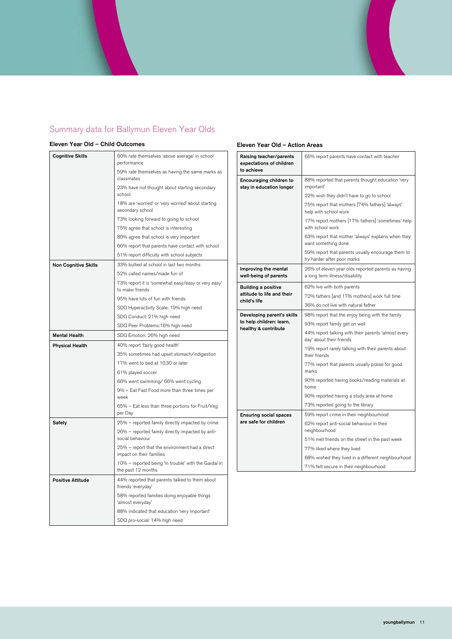### Summary data for Ballymun Eleven Year Olds

#### Eleven Year Old – Child Outcomes

| <b>Cognitive Skills</b>     | 60% rate themselves 'above average' in school<br>performance               |
|-----------------------------|----------------------------------------------------------------------------|
|                             | 59% rate themselves as having the same marks as<br>classmates              |
|                             | 23% have not thought about starting secondary<br>school                    |
|                             | 18% are 'worried' or 'very worried' about starting<br>secondary school     |
|                             | 73% looking forward to going to school                                     |
|                             | 75% agree that school is interesting                                       |
|                             | 80% agree that school is very important                                    |
|                             | 66% report that parents have contact with school                           |
|                             | 51% report difficulty with school subjects                                 |
| <b>Non Cognitive Skills</b> | 33% bullied at school in last two months                                   |
|                             | 52% called names/made fun of                                               |
|                             | 73% report it is 'somewhat easy/easy or very easy'<br>to make friends      |
|                             | 95% have lots of fun with friends                                          |
|                             | SDQ Hyperactivity Scale: 19% high need                                     |
|                             | SDQ Conduct: 21% high need                                                 |
|                             | SDQ Peer Problems:16% high need                                            |
| <b>Mental Health</b>        | SDQ Emotion: 26% high need                                                 |
| <b>Physical Health</b>      | 40% report 'fairly good health'                                            |
|                             | 35% sometimes had upset stomach/indigestion                                |
|                             | 17% went to bed at 10.30 or later                                          |
|                             | 61% played soccer                                                          |
|                             | 66% went swimming/ 66% went cycling                                        |
|                             | 9% - Eat Fast Food more than three times per<br>week                       |
|                             | 65% - Eat less than three portions for Fruit/Veg<br>per Day                |
| <b>Safety</b>               | 25% - reported family directly impacted by crime                           |
|                             | 26% - reported family directly impacted by anti-<br>social behaviour       |
|                             | 25% - report that the environment had a direct<br>impact on their families |
|                             | 10% - reported being 'in trouble' with the Gardaí in<br>the past 12 months |
| <b>Positive Attitude</b>    | 44% reported that parents talked to them about<br>friends 'everyday'       |
|                             | 58% reported families doing enjoyable things<br>'almost everyday'          |
|                             | 88% indicated that education 'very important'                              |
|                             | SDQ pro-social: 14% high need                                              |

#### Eleven Year Old – Action Areas

| Raising teacher/parents<br>expectations of children<br>to achieve              | 66% report parents have contact with teacher                                         |
|--------------------------------------------------------------------------------|--------------------------------------------------------------------------------------|
| Encouraging children to<br>stay in education longer                            | 88% reported that parents thought education 'very<br>important'                      |
|                                                                                | 22% wish they didn't have to go to school                                            |
|                                                                                | 75% report that mothers [74% fathers] 'always'<br>help with school work              |
|                                                                                | 17% report mothers [17% fathers] 'sometimes' help<br>with school work                |
|                                                                                | 63% report that mother 'always' explains when they<br>want something done            |
|                                                                                | 59% report that parents usually encourage them to<br>try harder after poor marks     |
| Improving the mental<br>well-being of parents                                  | 26% of eleven year olds reported parents as having<br>a long term illness/disability |
| <b>Building a positive</b>                                                     | 62% live with both parents                                                           |
| attitude to life and their                                                     | 72% fathers [and 17% mothers] work full time                                         |
| child's life                                                                   | 36% do not live with natural father                                                  |
| Developing parent's skills<br>to help children: learn,<br>healthy & contribute | 98% report that the enjoy being with the family                                      |
|                                                                                | 93% report family get on well                                                        |
|                                                                                | 44% report talking with their parents 'almost every<br>day' about their friends      |
|                                                                                | 19% report rarely talking with their parents about<br>their friends                  |
|                                                                                | 77% report that parents usually praise for good<br>marks                             |
|                                                                                | 90% reported having books/reading materials at<br>home                               |
|                                                                                | 90% reported having a study area at home                                             |
|                                                                                | 73% reported going to the library                                                    |
| <b>Ensuring social spaces</b>                                                  | 59% report crime in their neighbourhood                                              |
| are safe for children                                                          | 62% report anti-social behaviour in their<br>neighbourhood                           |
|                                                                                | 51% met friends on the street in the past week                                       |
|                                                                                | 77% liked where they lived                                                           |
|                                                                                | 68% wished they lived in a different neighbourhood                                   |
|                                                                                | 71% felt secure in their neighbourhood                                               |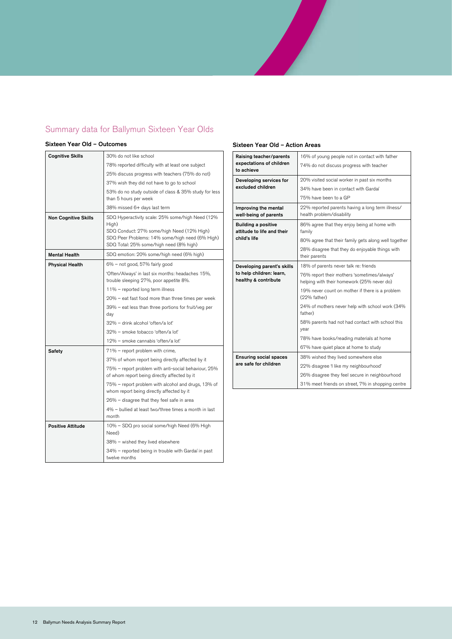### Summary data for Ballymun Sixteen Year Olds

#### Sixteen Year Old – Outcomes

| <b>Cognitive Skills</b>     | 30% do not like school                                                                                                                                                                                |
|-----------------------------|-------------------------------------------------------------------------------------------------------------------------------------------------------------------------------------------------------|
|                             | 78% reported difficulty with at least one subject                                                                                                                                                     |
|                             | 25% discuss progress with teachers (75% do not)                                                                                                                                                       |
|                             | 37% wish they did not have to go to school                                                                                                                                                            |
|                             | 53% do no study outside of class & 35% study for less<br>than 5 hours per week                                                                                                                        |
|                             | 38% missed 6+ days last term                                                                                                                                                                          |
| <b>Non Cognitive Skills</b> | SDQ Hyperactivity scale: 25% some/high Need (12%<br>High)<br>SDQ Conduct: 27% some/high Need (12% High)<br>SDQ Peer Problems: 14% some/high need (6% High)<br>SDQ Total: 25% some/high need (8% high) |
| <b>Mental Health</b>        | SDQ emotion: 20% some/high need (6% high)                                                                                                                                                             |
| <b>Physical Health</b>      | 6% - not good, 57% fairly good                                                                                                                                                                        |
|                             | 'Often/Always' in last six months: headaches 15%,<br>trouble sleeping 27%, poor appetite 8%.                                                                                                          |
|                             | 11% - reported long term illness                                                                                                                                                                      |
|                             | 20% - eat fast food more than three times per week                                                                                                                                                    |
|                             | 39% - eat less than three portions for fruit/veg per<br>day                                                                                                                                           |
|                             | 32% - drink alcohol 'often/a lot'                                                                                                                                                                     |
|                             | 32% - smoke tobacco 'often/a lot'                                                                                                                                                                     |
|                             | 12% - smoke cannabis 'often/a lot'                                                                                                                                                                    |
| Safety                      | 71% - report problem with crime,                                                                                                                                                                      |
|                             | 37% of whom report being directly affected by it                                                                                                                                                      |
|                             | 75% - report problem with anti-social behaviour, 25%<br>of whom report being directly affected by it                                                                                                  |
|                             | 75% - report problem with alcohol and drugs, 13% of<br>whom report being directly affected by it                                                                                                      |
|                             | 26% - disagree that they feel safe in area                                                                                                                                                            |
|                             | 4% - bullied at least two/three times a month in last<br>month                                                                                                                                        |
| <b>Positive Attitude</b>    | 10% - SDQ pro social some/high Need (6% High<br>Need)                                                                                                                                                 |
|                             | 38% - wished they lived elsewhere                                                                                                                                                                     |
|                             | 34% - reported being in trouble with Gardaí in past<br>twelve months                                                                                                                                  |

#### Sixteen Year Old – Action Areas

| Raising teacher/parents                                                  | 16% of young people not in contact with father                                            |
|--------------------------------------------------------------------------|-------------------------------------------------------------------------------------------|
| expectations of children<br>to achieve                                   | 74% do not discuss progress with teacher                                                  |
| Developing services for<br>excluded children                             | 20% visited social worker in past six months                                              |
|                                                                          | 34% have been in contact with Gardaí                                                      |
|                                                                          | 75% have been to a GP                                                                     |
| Improving the mental<br>well-being of parents                            | 22% reported parents having a long term illness/<br>health problem/disability             |
| <b>Building a positive</b><br>attitude to life and their<br>child's life | 86% agree that they enjoy being at home with<br>family                                    |
|                                                                          | 80% agree that their family gets along well together                                      |
|                                                                          | 28% disagree that they do enjoyable things with<br>their parents                          |
| Developing parent's skills                                               | 18% of parents never talk re: friends                                                     |
| to help children: learn,<br>healthy & contribute                         | 76% report their mothers 'sometimes/always'<br>helping with their homework (25% never do) |
|                                                                          | 19% never count on mother if there is a problem<br>(22% father)                           |
|                                                                          | 24% of mothers never help with school work (34%<br>father)                                |
|                                                                          | 58% parents had not had contact with school this<br>year                                  |
|                                                                          | 78% have books/reading materials at home                                                  |
|                                                                          | 67% have quiet place at home to study                                                     |
| <b>Ensuring social spaces</b><br>are safe for children                   | 38% wished they lived somewhere else                                                      |
|                                                                          | 22% disagree 'I like my neighbourhood'                                                    |
|                                                                          | 26% disagree they feel secure in neighbourhood                                            |
|                                                                          | 31% meet friends on street, 7% in shopping centre                                         |
|                                                                          |                                                                                           |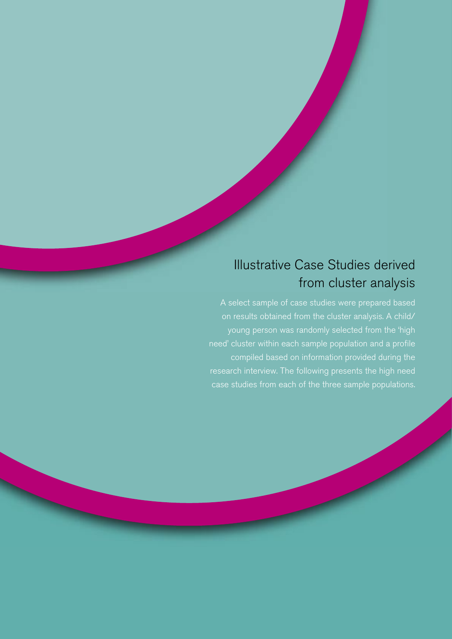# Illustrative Case Studies derived from cluster analysis

A select sample of case studies were prepared based on results obtained from the cluster analysis. A child/ young person was randomly selected from the 'high need' cluster within each sample population and a profile compiled based on information provided during the research interview. The following presents the high need case studies from each of the three sample populations.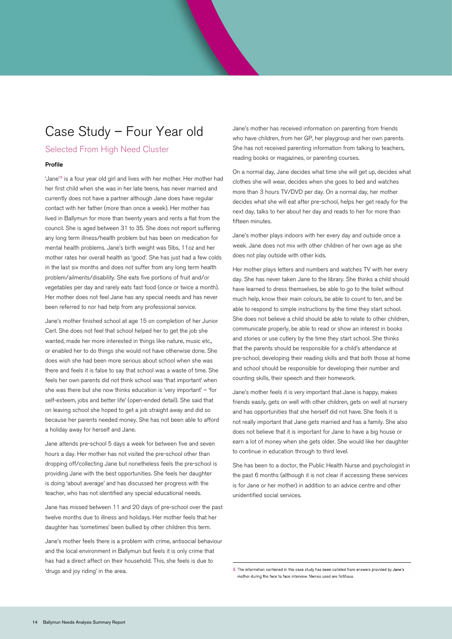### Case Study – Four Year old

#### Selected From High Need Cluster

#### **Profile**

'Jane'<sup>5</sup> is a four year old girl and lives with her mother. Her mother had her first child when she was in her late teens, has never married and currently does not have a partner although Jane does have regular contact with her father (more than once a week). Her mother has lived in Ballymun for more than twenty years and rents a flat from the council. She is aged between 31 to 35. She does not report suffering any long term illness/health problem but has been on medication for mental health problems. Jane's birth weight was 5lbs, 11oz and her mother rates her overall health as 'good'. She has just had a few colds in the last six months and does not suffer from any long term health problem/ailments/disability. She eats five portions of fruit and/or vegetables per day and rarely eats fast food (once or twice a month). Her mother does not feel Jane has any special needs and has never been referred to nor had help from any professional service.

Jane's mother finished school at age 15 on completion of her Junior Cert. She does not feel that school helped her to get the job she wanted, made her more interested in things like nature, music etc., or enabled her to do things she would not have otherwise done. She does wish she had been more serious about school when she was there and feels it is false to say that school was a waste of time. She feels her own parents did not think school was 'that important' when she was there but she now thinks education is 'very important' – 'for self-esteem, jobs and better life' (open-ended detail). She said that on leaving school she hoped to get a job straight away and did so because her parents needed money. She has not been able to afford a holiday away for herself and Jane.

Jane attends pre-school 5 days a week for between five and seven hours a day. Her mother has not visited the pre-school other than dropping off/collecting Jane but nonetheless feels the pre-school is providing Jane with the best opportunities. She feels her daughter is doing 'about average' and has discussed her progress with the teacher, who has not identified any special educational needs.

Jane has missed between 11 and 20 days of pre-school over the past twelve months due to illness and holidays. Her mother feels that her daughter has 'sometimes' been bullied by other children this term.

Jane's mother feels there is a problem with crime, antisocial behaviour and the local environment in Ballymun but feels it is only crime that has had a direct affect on their household. This, she feels is due to 'drugs and joy riding' in the area.

Jane's mother has received information on parenting from friends who have children, from her GP, her playgroup and her own parents. She has not received parenting information from talking to teachers, reading books or magazines, or parenting courses.

On a normal day, Jane decides what time she will get up, decides what clothes she will wear, decides when she goes to bed and watches more than 3 hours TV/DVD per day. On a normal day, her mother decides what she will eat after pre-school, helps her get ready for the next day, talks to her about her day and reads to her for more than fifteen minutes.

Jane's mother plays indoors with her every day and outside once a week. Jane does not mix with other children of her own age as she does not play outside with other kids.

Her mother plays letters and numbers and watches TV with her every day. She has never taken Jane to the library. She thinks a child should have learned to dress themselves, be able to go to the toilet without much help, know their main colours, be able to count to ten, and be able to respond to simple instructions by the time they start school. She does not believe a child should be able to relate to other children, communicate properly, be able to read or show an interest in books and stories or use cutlery by the time they start school. She thinks that the parents should be responsible for a child's attendance at pre-school, developing their reading skills and that both those at home and school should be responsible for developing their number and counting skills, their speech and their homework.

Jane's mother feels it is very important that Jane is happy, makes friends easily, gets on well with other children, gets on well at nursery and has opportunities that she herself did not have. She feels it is not really important that Jane gets married and has a family. She also does not believe that it is important for Jane to have a big house or earn a lot of money when she gets older. She would like her daughter to continue in education through to third level.

She has been to a doctor, the Public Health Nurse and psychologist in the past 6 months (although it is not clear if accessing these services is for Jane or her mother) in addition to an advice centre and other unidentified social services.

<sup>5</sup> The information contained in this case study has been collated from answers provided by Jane's mother during the face to face interview. Names used are fictitious.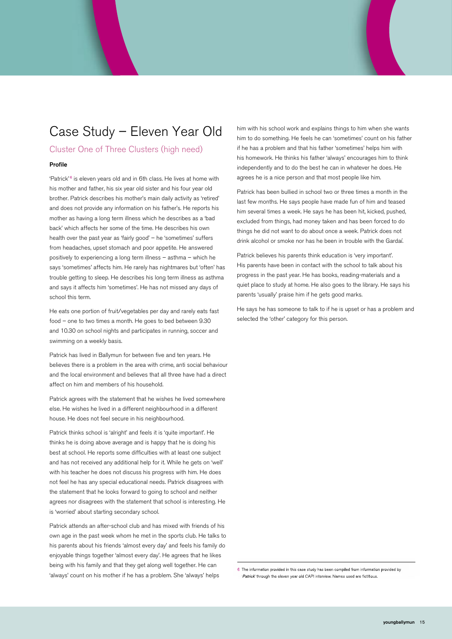## Case Study – Eleven Year Old

#### Cluster One of Three Clusters (high need)

#### Profile

'Patrick'<sup>6</sup> is eleven years old and in 6th class. He lives at home with his mother and father, his six year old sister and his four year old brother. Patrick describes his mother's main daily activity as 'retired' and does not provide any information on his father's. He reports his mother as having a long term illness which he describes as a 'bad back' which affects her some of the time. He describes his own health over the past year as 'fairly good' – he 'sometimes' suffers from headaches, upset stomach and poor appetite. He answered positively to experiencing a long term illness – asthma – which he says 'sometimes' affects him. He rarely has nightmares but 'often' has trouble getting to sleep. He describes his long term illness as asthma and says it affects him 'sometimes'. He has not missed any days of school this term.

He eats one portion of fruit/vegetables per day and rarely eats fast food – one to two times a month. He goes to bed between 9.30 and 10.30 on school nights and participates in running, soccer and swimming on a weekly basis.

Patrick has lived in Ballymun for between five and ten years. He believes there is a problem in the area with crime, anti social behaviour and the local environment and believes that all three have had a direct affect on him and members of his household.

Patrick agrees with the statement that he wishes he lived somewhere else. He wishes he lived in a different neighbourhood in a different house. He does not feel secure in his neighbourhood.

Patrick thinks school is 'alright' and feels it is 'quite important'. He thinks he is doing above average and is happy that he is doing his best at school. He reports some difficulties with at least one subject and has not received any additional help for it. While he gets on 'well' with his teacher he does not discuss his progress with him. He does not feel he has any special educational needs. Patrick disagrees with the statement that he looks forward to going to school and neither agrees nor disagrees with the statement that school is interesting. He is 'worried' about starting secondary school.

Patrick attends an after-school club and has mixed with friends of his own age in the past week whom he met in the sports club. He talks to his parents about his friends 'almost every day' and feels his family do enjoyable things together 'almost every day'. He agrees that he likes being with his family and that they get along well together. He can 'always' count on his mother if he has a problem. She 'always' helps

him with his school work and explains things to him when she wants him to do something. He feels he can 'sometimes' count on his father if he has a problem and that his father 'sometimes' helps him with his homework. He thinks his father 'always' encourages him to think independently and to do the best he can in whatever he does. He agrees he is a nice person and that most people like him.

Patrick has been bullied in school two or three times a month in the last few months. He says people have made fun of him and teased him several times a week. He says he has been hit, kicked, pushed, excluded from things, had money taken and has been forced to do things he did not want to do about once a week. Patrick does not drink alcohol or smoke nor has he been in trouble with the Gardaí.

Patrick believes his parents think education is 'very important'. His parents have been in contact with the school to talk about his progress in the past year. He has books, reading-materials and a quiet place to study at home. He also goes to the library. He says his parents 'usually' praise him if he gets good marks.

He says he has someone to talk to if he is upset or has a problem and selected the 'other' category for this person.

<sup>6</sup> The information provided in this case study has been compiled from information provided by 'Patrick' through the eleven year old CAPI interview. Names used are fictitious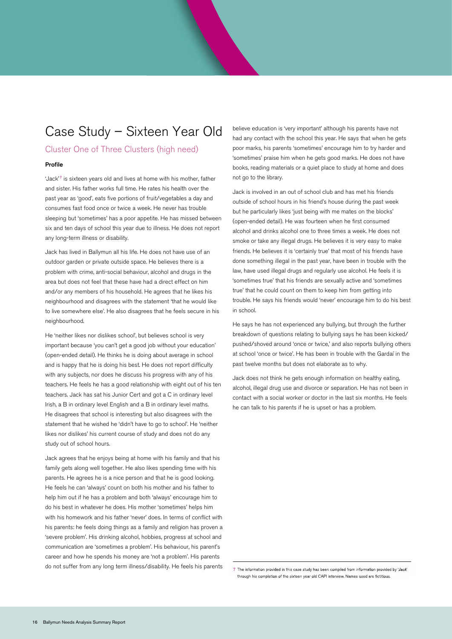## Case Study – Sixteen Year Old

#### Cluster One of Three Clusters (high need)

#### **Profile**

'Jack'<sup>7</sup> is sixteen years old and lives at home with his mother, father and sister. His father works full time. He rates his health over the past year as 'good', eats five portions of fruit/yegetables a day and consumes fast food once or twice a week. He never has trouble sleeping but 'sometimes' has a poor appetite. He has missed between six and ten days of school this year due to illness. He does not report any long-term illness or disability.

Jack has lived in Ballymun all his life. He does not have use of an outdoor garden or private outside space. He believes there is a problem with crime, anti-social behaviour, alcohol and drugs in the area but does not feel that these have had a direct effect on him and/or any members of his household. He agrees that he likes his neighbourhood and disagrees with the statement 'that he would like to live somewhere else'. He also disagrees that he feels secure in his neighbourhood.

He 'neither likes nor dislikes school', but believes school is very important because 'you can't get a good job without your education' (open-ended detail). He thinks he is doing about average in school and is happy that he is doing his best. He does not report difficulty with any subjects, nor does he discuss his progress with any of his teachers. He feels he has a good relationship with eight out of his ten teachers. Jack has sat his Junior Cert and got a C in ordinary level Irish, a B in ordinary level English and a B in ordinary level maths. He disagrees that school is interesting but also disagrees with the statement that he wished he 'didn't have to go to school'. He 'neither likes nor dislikes' his current course of study and does not do any study out of school hours.

Jack agrees that he enjoys being at home with his family and that his family gets along well together. He also likes spending time with his parents. He agrees he is a nice person and that he is good looking. He feels he can 'always' count on both his mother and his father to help him out if he has a problem and both 'always' encourage him to do his best in whatever he does. His mother 'sometimes' helps him with his homework and his father 'never' does. In terms of conflict with his parents: he feels doing things as a family and religion has proven a 'severe problem'. His drinking alcohol, hobbies, progress at school and communication are 'sometimes a problem'. His behaviour, his parent's career and how he spends his money are 'not a problem'. His parents do not suffer from any long term illness/disability. He feels his parents

believe education is 'very important' although his parents have not had any contact with the school this year. He says that when he gets poor marks, his parents 'sometimes' encourage him to try harder and 'sometimes' praise him when he gets good marks. He does not have books, reading materials or a quiet place to study at home and does not go to the library.

Jack is involved in an out of school club and has met his friends outside of school hours in his friend's house during the past week but he particularly likes 'just being with me mates on the blocks' (open-ended detail). He was fourteen when he first consumed alcohol and drinks alcohol one to three times a week. He does not smoke or take any illegal drugs. He believes it is very easy to make friends. He believes it is 'certainly true' that most of his friends have done something illegal in the past year, have been in trouble with the law, have used illegal drugs and regularly use alcohol. He feels it is 'sometimes true' that his friends are sexually active and 'sometimes true' that he could count on them to keep him from getting into trouble. He says his friends would 'never' encourage him to do his best in school.

He says he has not experienced any bullying, but through the further breakdown of questions relating to bullying says he has been kicked/ pushed/shoved around 'once or twice,' and also reports bullying others at school 'once or twice'. He has been in trouble with the Gardaí in the past twelve months but does not elaborate as to why.

Jack does not think he gets enough information on healthy eating, alcohol, illegal drug use and divorce or separation. He has not been in contact with a social worker or doctor in the last six months. He feels he can talk to his parents if he is upset or has a problem.

<sup>7</sup> The information provided in this case study has been compiled from information provided by 'Jack' through his completion of the sixteen year old CAPI interview. Names used are fictitious.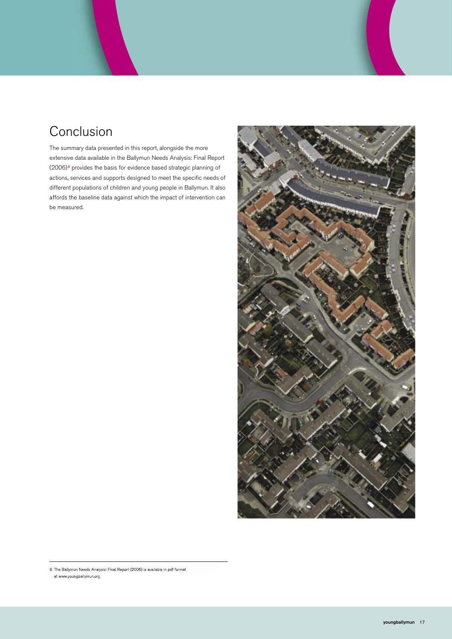## Conclusion

The summary data presented in this report, alongside the more extensive data available in the Ballymun Needs Analysis: Final Report (2006)<sup>8</sup> provides the basis for evidence based strategic planning of actions, services and supports designed to meet the specific needs of different populations of children and young people in Ballymun. It also affords the baseline data against which the impact of intervention can be measured.



8 The Ballymun Needs Analysis: Final Report (2006) is available in pdf format

at www.youngballymun.org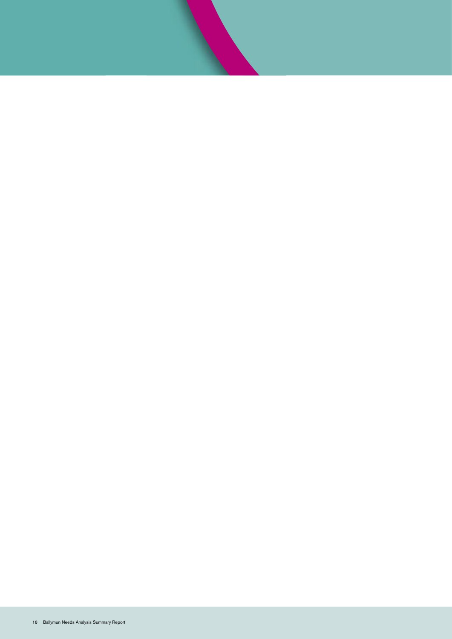